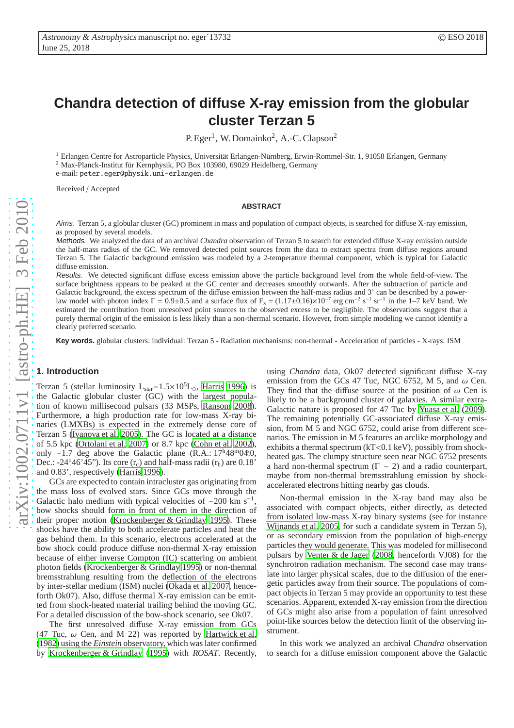# **Chandra detection of diffuse X-ray emission from the globular cluster Terzan 5**

P. Eger<sup>1</sup>, W. Domainko<sup>2</sup>, A.-C. Clapson<sup>2</sup>

<sup>1</sup> Erlangen Centre for Astroparticle Physics, Universität Erlangen-Nürnberg, Erwin-Rommel-Str. 1, 91058 Erlangen, Germany

 $2$  Max-Planck-Institut für Kernphysik, PO Box 103980, 69029 Heidelberg, Germany

e-mail: peter.eger@physik.uni-erlangen.de

Received / Accepted

## **ABSTRACT**

Aims. Terzan 5, a globular cluster (GC) prominent in mass and population of compact objects, is searched for diffuse X-ray emission, as proposed by several models.

Methods. We analyzed the data of an archival *Chandra* observation of Terzan 5 to search for extended diffuse X-ray emission outside the half-mass radius of the GC. We removed detected point sources from the data to extract spectra from diffuse regions around Terzan 5. The Galactic background emission was modeled by a 2-temperature thermal component, which is typical for Galactic diffuse emission.

Results. We detected significant diffuse excess emission above the particle background level from the whole field-of-view. The surface brightness appears to be peaked at the GC center and decreases smoothly outwards. After the subtraction of particle and Galactic background, the excess spectrum of the diffuse emission between the half-mass radius and 3' can be described by a powerlaw model with photon index  $\Gamma = 0.9 \pm 0.5$  and a surface flux of  $F_x = (1.17 \pm 0.16) \times 10^{-7}$  erg cm<sup>-2</sup> s<sup>-1</sup> sr<sup>-1</sup> in the 1–7 keV band. We estimated the contribution from unresolved point sources to the observed excess to be negligible. The observations suggest that a purely thermal origin of the emission is less likely than a non-thermal scenario. However, from simple modeling we cannot identify a clearly preferred scenario.

**Key words.** globular clusters: individual: Terzan 5 - Radiation mechanisms: non-thermal - Acceleration of particles - X-rays: ISM

#### **1. Introduction**

Terzan 5 (stellar luminosity L<sub>star</sub>=1.5×10<sup>5</sup>L<sub>⊙</sub>, [Harris 1996\)](#page-5-0) is the Galactic globular cluster (GC) with the largest population of known millisecond pulsars (33 MSPs, [Ransom 2008](#page-5-1)). Furthermore, a high production rate for low-mass X-ray binaries (LMXBs) is expected in the extremely dense core of Terzan 5 [\(Ivanova et al. 2005](#page-5-2)). The GC is located at a distance of 5.5 kpc [\(Ortolani et al. 2007](#page-5-3)) or 8.7 kpc [\(Cohn et al. 2002](#page-5-4)), only ∼1.7 deg above the Galactic plane (R.A.: 17<sup>h</sup>48<sup>m</sup>04.0, Dec.: -24°46'45"). Its core  $(r_c)$  and half-mass radii  $(r_h)$  are 0.18" and 0.83', respectively [\(Harris 1996\)](#page-5-0).

GCs are expected to contain intracluster gas originating from the mass loss of evolved stars. Since GCs move through the Galactic halo medium with typical velocities of  $\sim$ 200 km s<sup>−1</sup> , bow shocks should form in front of them in the direction of their proper motion [\(Krockenberger & Grindlay 1995\)](#page-5-5). These shocks have the ability to both accelerate particles and heat the gas behind them. In this scenario, electrons accelerated at the bow shock could produce diffuse non-thermal X-ray emission because of either inverse Compton (IC) scattering on ambient photon fields [\(Krockenberger & Grindlay 1995\)](#page-5-5) or non-thermal bremsstrahlung resulting from the deflection of the electrons by inter-stellar medium (ISM) nuclei [\(Okada et al. 2007,](#page-5-6) henceforth Ok07). Also, diffuse thermal X-ray emission can be emitted from shock-heated material trailing behind the moving GC. For a detailed discussion of the bow-shock scenario, see Ok07.

The first unresolved diffuse X-ray emission from GCs (47 Tuc,  $\omega$  Cen, and M 22) was reported by [Hartwick et al.](#page-5-7) [\(1982\)](#page-5-7) using the *Einstein* observatory, which was later confirmed by [Krockenberger & Grindlay](#page-5-5) [\(1995\)](#page-5-5) with *ROSAT*. Recently, using *Chandra* data, Ok07 detected significant diffuse X-ray emission from the GCs 47 Tuc, NGC 6752, M 5, and  $\omega$  Cen. They find that the diffuse source at the position of  $\omega$  Cen is likely to be a background cluster of galaxies. A similar extra-Galactic nature is proposed for 47 Tuc by [Yuasa et al. \(2009\)](#page-5-8). The remaining potentially GC-associated diffuse X-ray emission, from M 5 and NGC 6752, could arise from different scenarios. The emission in M 5 features an arclike morphology and exhibits a thermal spectrum (kT<0.1 keV), possibly from shockheated gas. The clumpy structure seen near NGC 6752 presents a hard non-thermal spectrum ( $\Gamma \sim 2$ ) and a radio counterpart, maybe from non-thermal bremsstrahlung emission by shockaccelerated electrons hitting nearby gas clouds.

Non-thermal emission in the X-ray band may also be associated with compact objects, either directly, as detected from isolated low-mass X-ray binary systems (see for instance [Wijnands et al. 2005,](#page-5-9) for such a candidate system in Terzan 5). or as secondary emission from the population of high-energy particles they would generate. This was modeled for millisecond pulsars by [Venter & de Jager \(2008](#page-5-10), henceforth VJ08) for the synchrotron radiation mechanism. The second case may translate into larger physical scales, due to the diffusion of the energetic particles away from their source. The populations of compact objects in Terzan 5 may provide an opportunity to test these scenarios. Apparent, extended X-ray emission from the direction of GCs might also arise from a population of faint unresolved point-like sources below the detection limit of the observing instrument.

In this work we analyzed an archival *Chandra* observation to search for a diffuse emission component above the Galactic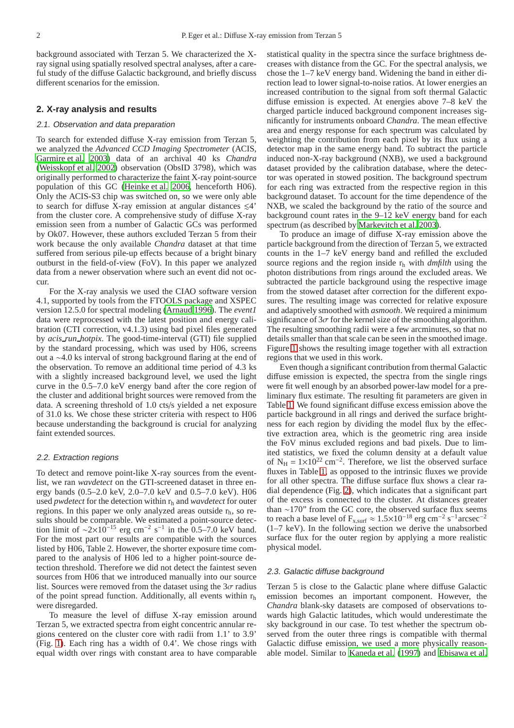background associated with Terzan 5. We characterized the Xray signal using spatially resolved spectral analyses, after a careful study of the diffuse Galactic background, and briefly discuss different scenarios for the emission.

# **2. X-ray analysis and results**

# 2.1. Observation and data preparation

To search for extended diffuse X-ray emission from Terzan 5, we analyzed the *Advanced CCD Imaging Spectrometer* (ACIS, [Garmire et al. 2003](#page-5-11)) data of an archival 40 ks *Chandra* [\(Weisskopf et al. 2002\)](#page-5-12) observation (ObsID 3798), which was originally performed to characterize the faint X-ray point-source population of this GC [\(Heinke et al. 2006](#page-5-13), henceforth H06). Only the ACIS-S3 chip was switched on, so we were only able to search for diffuse X-ray emission at angular distances  $\leq 4'$ from the cluster core. A comprehensive study of diffuse X-ray emission seen from a number of Galactic GCs was performed by Ok07. However, these authors excluded Terzan 5 from their work because the only available *Chandra* dataset at that time suffered from serious pile-up effects because of a bright binary outburst in the field-of-view (FoV). In this paper we analyzed data from a newer observation where such an event did not occur.

For the X-ray analysis we used the CIAO software version 4.1, supported by tools from the FTOOLS package and XSPEC version 12.5.0 for spectral modeling [\(Arnaud 1996\)](#page-5-14). The *event1* data were reprocessed with the latest position and energy calibration (CTI correction, v4.1.3) using bad pixel files generated by *acis run hotpix*. The good-time-interval (GTI) file supplied by the standard processing, which was used by H06, screens out a ∼4.0 ks interval of strong background flaring at the end of the observation. To remove an additional time period of 4.3 ks with a slightly increased background level, we used the light curve in the 0.5–7.0 keV energy band after the core region of the cluster and additional bright sources were removed from the data. A screening threshold of 1.0 cts/s yielded a net exposure of 31.0 ks. We chose these stricter criteria with respect to H06 because understanding the background is crucial for analyzing faint extended sources.

#### 2.2. Extraction regions

To detect and remove point-like X-ray sources from the eventlist, we ran *wavdetect* on the GTI-screened dataset in three energy bands (0.5–2.0 keV, 2.0–7.0 keV and 0.5–7.0 keV). H06 used *pwdetect* for the detection within  $r_h$  and *wavdetect* for outer regions. In this paper we only analyzed areas outside  $r<sub>h</sub>$ , so results should be comparable. We estimated a point-source detection limit of  $\sim 2 \times 10^{-15}$  erg cm<sup>-2</sup> s<sup>-1</sup> in the 0.5–7.0 keV band. For the most part our results are compatible with the sources listed by H06, Table 2. However, the shorter exposure time compared to the analysis of H06 led to a higher point-source detection threshold. Therefore we did not detect the faintest seven sources from H06 that we introduced manually into our source list. Sources were removed from the dataset using the  $3\sigma$  radius of the point spread function. Additionally, all events within  $r<sub>h</sub>$ were disregarded.

To measure the level of diffuse X-ray emission around Terzan 5, we extracted spectra from eight concentric annular regions centered on the cluster core with radii from 1.1' to 3.9' (Fig. [1\)](#page-2-0). Each ring has a width of 0.4'. We chose rings with equal width over rings with constant area to have comparable statistical quality in the spectra since the surface brightness decreases with distance from the GC. For the spectral analysis, we chose the 1–7 keV energy band. Widening the band in either direction lead to lower signal-to-noise ratios. At lower energies an increased contribution to the signal from soft thermal Galactic diffuse emission is expected. At energies above 7–8 keV the charged particle induced background component increases significantly for instruments onboard *Chandra*. The mean effective area and energy response for each spectrum was calculated by weighting the contribution from each pixel by its flux using a detector map in the same energy band. To subtract the particle induced non-X-ray background (NXB), we used a background dataset provided by the calibration database, where the detector was operated in stowed position. The background spectrum for each ring was extracted from the respective region in this background dataset. To account for the time dependence of the NXB, we scaled the background by the ratio of the source and background count rates in the 9–12 keV energy band for each spectrum (as described by [Markevitch et al. 2003\)](#page-5-15).

To produce an image of diffuse X-ray emission above the particle background from the direction of Terzan 5, we extracted counts in the 1–7 keV energy band and refilled the excluded source regions and the region inside  $r<sub>h</sub>$  with *dmfilth* using the photon distributions from rings around the excluded areas. We subtracted the particle background using the respective image from the stowed dataset after correction for the different exposures. The resulting image was corrected for relative exposure and adaptively smoothed with *asmooth*. We required a minimum significance of  $3\sigma$  for the kernel size of the smoothing algorithm. The resulting smoothing radii were a few arcminutes, so that no details smaller than that scale can be seen in the smoothed image. Figure [1](#page-2-0) shows the resulting image together with all extraction regions that we used in this work.

Even though a significant contribution from thermal Galactic diffuse emission is expected, the spectra from the single rings were fit well enough by an absorbed power-law model for a preliminary flux estimate. The resulting fit parameters are given in Table [1.](#page-3-0) We found significant diffuse excess emission above the particle background in all rings and derived the surface brightness for each region by dividing the model flux by the effective extraction area, which is the geometric ring area inside the FoV minus excluded regions and bad pixels. Due to limited statistics, we fixed the column density at a default value of  $N_H = 1 \times 10^{22}$  cm<sup>-2</sup>. Therefore, we list the observed surface fluxes in Table [1,](#page-3-0) as opposed to the intrinsic fluxes we provide for all other spectra. The diffuse surface flux shows a clear radial dependence (Fig. [2\)](#page-2-1), which indicates that a significant part of the excess is connected to the cluster. At distances greater than ∼170" from the GC core, the observed surface flux seems to reach a base level of  $F_{x, surf} \approx 1.5 \times 10^{-18}$  erg cm<sup>-2</sup> s<sup>-1</sup> arcsec<sup>-2</sup> (1–7 keV). In the following section we derive the unabsorbed surface flux for the outer region by applying a more realistic physical model.

### 2.3. Galactic diffuse background

Terzan 5 is close to the Galactic plane where diffuse Galactic emission becomes an important component. However, the *Chandra* blank-sky datasets are composed of observations towards high Galactic latitudes, which would underestimate the sky background in our case. To test whether the spectrum observed from the outer three rings is compatible with thermal Galactic diffuse emission, we used a more physically reasonable model. Similar to [Kaneda et al.](#page-5-16) [\(1997\)](#page-5-16) and [Ebisawa et al.](#page-5-17)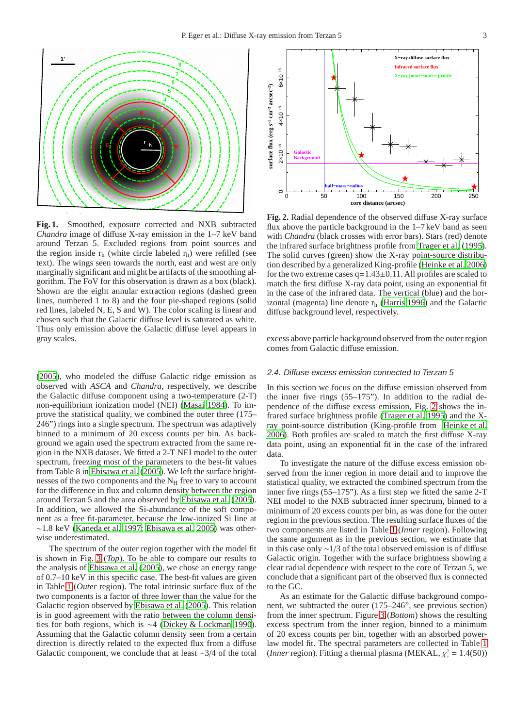

<span id="page-2-0"></span>**Fig. 1.** Smoothed, exposure corrected and NXB subtracted *Chandra* image of diffuse X-ray emission in the 1–7 keV band around Terzan 5. Excluded regions from point sources and the region inside  $r<sub>h</sub>$  (white circle labeled  $r<sub>h</sub>$ ) were refilled (see text). The wings seen towards the north, east and west are only marginally significant and might be artifacts of the smoothing algorithm. The FoV for this observation is drawn as a box (black). Shown are the eight annular extraction regions (dashed green lines, numbered 1 to 8) and the four pie-shaped regions (solid red lines, labeled N, E, S and W). The color scaling is linear and chosen such that the Galactic diffuse level is saturated as white. Thus only emission above the Galactic diffuse level appears in gray scales.

[\(2005\)](#page-5-17), who modeled the diffuse Galactic ridge emission as observed with *ASCA* and *Chandra*, respectively, we describe the Galactic diffuse component using a two-temperature (2-T) non-equilibrium ionization model (NEI) [\(Masai 1984](#page-5-18)). To improve the statistical quality, we combined the outer three (175– 246") rings into a single spectrum. The spectrum was adaptively binned to a minimum of 20 excess counts per bin. As background we again used the spectrum extracted from the same region in the NXB dataset. We fitted a 2-T NEI model to the outer spectrum, freezing most of the parameters to the best-fit values from Table 8 in [Ebisawa et al.](#page-5-17) [\(2005\)](#page-5-17). We left the surface brightnesses of the two components and the  $N_H$  free to vary to account for the difference in flux and column density between the region around Terzan 5 and the area observed by [Ebisawa et al. \(2005](#page-5-17)). In addition, we allowed the Si-abundance of the soft component as a free fit-parameter, because the low-ionized Si line at ∼1.8 keV [\(Kaneda et al. 1997](#page-5-16); [Ebisawa et al. 2005\)](#page-5-17) was otherwise underestimated.

The spectrum of the outer region together with the model fit is shown in Fig. [3](#page-4-0) (*Top*). To be able to compare our results to the analysis of [Ebisawa et al.](#page-5-17) [\(2005\)](#page-5-17), we chose an energy range of 0.7–10 keV in this specific case. The best-fit values are given in Table [1](#page-3-0) (*Outer* region). The total intrinsic surface flux of the two components is a factor of three lower than the value for the Galactic region observed by [Ebisawa et al. \(2005\)](#page-5-17). This relation is in good agreement with the ratio between the column densities for both regions, which is ∼4 [\(Dickey & Lockman 1990](#page-5-19)). Assuming that the Galactic column density seen from a certain direction is directly related to the expected flux from a diffuse Galactic component, we conclude that at least ∼3/4 of the total



<span id="page-2-1"></span>**Fig. 2.** Radial dependence of the observed diffuse X-ray surface flux above the particle background in the 1–7 keV band as seen with *Chandra* (black crosses with error bars). Stars (red) denote the infrared surface brightness profile from [Trager et al. \(1995\)](#page-5-20). The solid curves (green) show the X-ray point-source distribution described by a generalized King-profile [\(Heinke et al. 2006\)](#page-5-13) for the two extreme cases  $q=1.43\pm0.11$ . All profiles are scaled to match the first diffuse X-ray data point, using an exponential fit in the case of the infrared data. The vertical (blue) and the horizontal (magenta) line denote  $r<sub>h</sub>$  [\(Harris 1996\)](#page-5-0) and the Galactic diffuse background level, respectively.

excess above particle background observed from the outer region comes from Galactic diffuse emission.

### 2.4. Diffuse excess emission connected to Terzan <sup>5</sup>

In this section we focus on the diffuse emission observed from the inner five rings (55–175"). In addition to the radial dependence of the diffuse excess emission, Fig. [2](#page-2-1) shows the infrared surface brightness profile [\(Trager et al. 1995\)](#page-5-20) and the Xray point-source distribution (King-profile from [Heinke et](#page-5-13) al. [2006\)](#page-5-13). Both profiles are scaled to match the first diffuse X-ray data point, using an exponential fit in the case of the infrared data.

To investigate the nature of the diffuse excess emission observed from the inner region in more detail and to improve the statistical quality, we extracted the combined spectrum from the inner five rings (55–175"). As a first step we fitted the same 2-T NEI model to the NXB subtracted inner spectrum, binned to a minimum of 20 excess counts per bin, as was done for the outer region in the previous section. The resulting surface fluxes of the two components are listed in Table [1](#page-3-0) (*Inner* region). Following the same argument as in the previous section, we estimate that in this case only ∼1/3 of the total observed emission is of diffuse Galactic origin. Together with the surface brightness showing a clear radial dependence with respect to the core of Terzan 5, we conclude that a significant part of the observed flux is connected to the GC.

As an estimate for the Galactic diffuse background component, we subtracted the outer (175–246", see previous section) from the inner spectrum. Figure [3](#page-4-0) (*Bottom*) shows the resulting excess spectrum from the inner region, binned to a minimum of 20 excess counts per bin, together with an absorbed powerlaw model fit. The spectral parameters are collected in Table [1](#page-3-0) (*Inner* region). Fitting a thermal plasma (MEKAL,  $\chi^2$  = 1.4(50))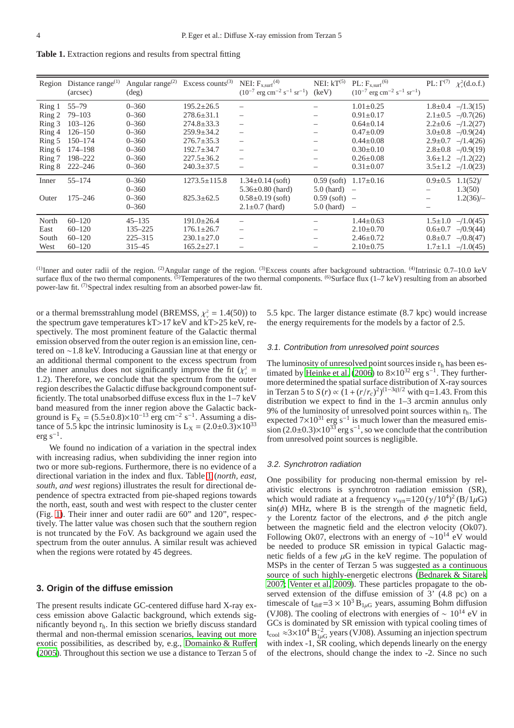<span id="page-3-0"></span>**Table 1.** Extraction regions and results from spectral fitting

| Region | Distance range $^{(1)}$<br>(arcsec) | Angular range $(2)$<br>$(\text{deg})$ | Excess counts <sup><math>(3)</math></sup> | NEI: $F_{x,surf}$ <sup>(4)</sup><br>$(10^{-7} \text{ erg cm}^{-2} \text{ s}^{-1} \text{ sr}^{-1})$ | NEI: $kT^{(5)}$<br>(keV) | $PL: F_{x, surf}^{(6)}$<br>$(10^{-7}$ erg cm <sup>-2</sup> s <sup>-1</sup> sr <sup>-1</sup> ) |               | PL: $\Gamma^{(7)}$ $\chi^2_{\nu}$ (d.o.f.) |
|--------|-------------------------------------|---------------------------------------|-------------------------------------------|----------------------------------------------------------------------------------------------------|--------------------------|-----------------------------------------------------------------------------------------------|---------------|--------------------------------------------|
| Ring 1 | $55 - 79$                           | $0 - 360$                             | $195.2 \pm 26.5$                          |                                                                                                    |                          | $1.01 \pm 0.25$                                                                               |               | $1.8 \pm 0.4$ -/1.3(15)                    |
| Ring 2 | $79 - 103$                          | $0 - 360$                             | $278.6 \pm 31.1$                          |                                                                                                    | $\overline{\phantom{0}}$ | $0.91 \pm 0.17$                                                                               |               | $2.1 \pm 0.5$ -/0.7(26)                    |
| Ring 3 | $103 - 126$                         | $0 - 360$                             | $274.8 \pm 33.3$                          |                                                                                                    |                          | $0.64 \pm 0.14$                                                                               |               | $2.2 \pm 0.6$ -/1.2(27)                    |
| Ring 4 | $126 - 150$                         | $0 - 360$                             | $259.9 \pm 34.2$                          | $\overline{\phantom{0}}$                                                                           |                          | $0.47 \pm 0.09$                                                                               |               | $3.0\pm0.8$ -/0.9(24)                      |
| Ring 5 | $150 - 174$                         | $0 - 360$                             | $276.7 \pm 35.3$                          |                                                                                                    | $\overline{\phantom{0}}$ | $0.44 \pm 0.08$                                                                               |               | $2.9 \pm 0.7$ -/1.4(26)                    |
| Ring 6 | 174-198                             | $0 - 360$                             | $192.7 \pm 34.7$                          |                                                                                                    |                          | $0.30 \pm 0.10$                                                                               |               | $2.8 \pm 0.8$ -/0.9(19)                    |
| Ring 7 | 198-222                             | $0 - 360$                             | $227.5 \pm 36.2$                          |                                                                                                    | $\qquad \qquad$          | $0.26 \pm 0.08$                                                                               |               | $3.6 \pm 1.2$ -/1.2(22)                    |
| Ring 8 | $222 - 246$                         | $0 - 360$                             | $240.3 \pm 37.5$                          |                                                                                                    | $\qquad \qquad$          | $0.31 \pm 0.07$                                                                               |               | $3.5 \pm 1.2$ -/1.0(23)                    |
| Inner  | $55 - 174$                          | $0 - 360$                             | $1273.5 \pm 115.8$                        | $1.34 \pm 0.14$ (soft)                                                                             |                          | $0.59$ (soft) $1.17\pm0.16$                                                                   | $0.9 \pm 0.5$ | $1.1(52)$ /                                |
|        |                                     | $0 - 360$                             |                                           | $5.36 \pm 0.80$ (hard)                                                                             | $5.0$ (hard) $-$         |                                                                                               |               | 1.3(50)                                    |
| Outer  | $175 - 246$                         | $0 - 360$                             | $825.3 \pm 62.5$                          | $0.58\pm0.19$ (soft)                                                                               | $0.59$ (soft) –          |                                                                                               |               | $1.2(36)/-$                                |
|        |                                     | $0 - 360$                             |                                           | $2.1 \pm 0.7$ (hard)                                                                               | $5.0$ (hard) $-$         |                                                                                               |               |                                            |
| North  | $60 - 120$                          | $45 - 135$                            | $191.0 \pm 26.4$                          |                                                                                                    |                          | $1.44 \pm 0.63$                                                                               |               | $1.5 \pm 1.0$ -/1.0(45)                    |
| East   | $60 - 120$                          | $135 - 225$                           | $176.1 \pm 26.7$                          |                                                                                                    | $\overline{\phantom{0}}$ | $2.10\pm0.70$                                                                                 |               | $0.6\pm0.7$ -/0.9(44)                      |
| South  | $60 - 120$                          | $225 - 315$                           | $230.1 \pm 27.0$                          | $-$                                                                                                | $\overline{\phantom{0}}$ | $2.46 \pm 0.72$                                                                               | $0.8{\pm}0.7$ | $-$ /0.8(47)                               |
| West   | $60 - 120$                          | $315 - 45$                            | $165.2 \pm 27.1$                          |                                                                                                    | $\qquad \qquad$          | $2.10\pm0.75$                                                                                 | $1.7 \pm 1.1$ | $-1.0(45)$                                 |
|        |                                     |                                       |                                           |                                                                                                    |                          |                                                                                               |               |                                            |

<sup>(1)</sup>Inner and outer radii of the region. <sup>(2)</sup>Angular range of the region. <sup>(3)</sup>Excess counts after background subtraction. <sup>(4)</sup>Intrinsic 0.7–10.0 keV surface flux of the two thermal components.  $\frac{(5)}{2}$ Temperatures of the two thermal components.  $\frac{(6)}{S}$ Surface flux (1–7 keV) resulting from an absorbed power-law fit. <sup>(7)</sup>Spectral index resulting from an absorbed power-law fit.

or a thermal bremsstrahlung model (BREMSS,  $\chi^2$  = 1.4(50)) to the spectrum gave temperatures kT>17 keV and kT>25 keV, respectively. The most prominent feature of the Galactic thermal emission observed from the outer region is an emission line, centered on ∼1.8 keV. Introducing a Gaussian line at that energy or an additional thermal component to the excess spectrum from the inner annulus does not significantly improve the fit  $(\chi^2)$  = 1.2). Therefore, we conclude that the spectrum from the outer region describes the Galactic diffuse background component sufficiently. The total unabsorbed diffuse excess flux in the 1–7 keV band measured from the inner region above the Galactic background is  $F_X = (5.5 \pm 0.8) \times 10^{-13}$  erg cm<sup>-2</sup> s<sup>-1</sup>. Assuming a distance of 5.5 kpc the intrinsic luminosity is  $L_X = (2.0 \pm 0.3) \times 10^{33}$  $erg s^{-1}$ .

We found no indication of a variation in the spectral index with increasing radius, when subdividing the inner region into two or more sub-regions. Furthermore, there is no evidence of a directional variation in the index and flux. Table [1](#page-3-0) (*north, east, south, and west* regions) illustrates the result for directional dependence of spectra extracted from pie-shaped regions towards the north, east, south and west with respect to the cluster center (Fig. [1\)](#page-2-0). Their inner and outer radii are 60" and 120", respectively. The latter value was chosen such that the southern region is not truncated by the FoV. As background we again used the spectrum from the outer annulus. A similar result was achieved when the regions were rotated by 45 degrees.

## **3. Origin of the diffuse emission**

The present results indicate GC-centered diffuse hard X-ray excess emission above Galactic background, which extends significantly beyond  $r<sub>h</sub>$ . In this section we briefly discuss standard thermal and non-thermal emission scenarios, leaving out more exotic possibilities, as described by, e.g., [Domainko & Ru](#page-5-21)ffert [\(2005\)](#page-5-21). Throughout this section we use a distance to Terzan 5 of 5.5 kpc. The larger distance estimate (8.7 kpc) would increase the energy requirements for the models by a factor of 2.5.

#### 3.1. Contribution from unresolved point sources

The luminosity of unresolved point sources inside  $r<sub>h</sub>$  has been es-timated by [Heinke et al. \(2006\)](#page-5-13) to  $8 \times 10^{32}$  erg s<sup>-1</sup>. They furthermore determined the spatial surface distribution of X-ray sources in Terzan 5 to  $S(r) \propto (1 + (r/r_c)^2)^{(1-3q)/2}$  with q=1.43. From this distribution we expect to find in the 1–3 arcmin annulus only 9% of the luminosity of unresolved point sources within  $r_h$ . The expected  $7 \times 10^{31}$  erg s<sup>-1</sup> is much lower than the measured emission (2.0±0.3)×10<sup>33</sup> erg s<sup>-1</sup>, so we conclude that the contribution from unresolved point sources is negligible.

#### 3.2. Synchrotron radiation

One possibility for producing non-thermal emission by relativistic electrons is synchrotron radiation emission (SR), which would radiate at a frequency  $v_{syn} = 120 \left(\frac{\gamma}{10^4}\right)^2 \left(\frac{B}{1\mu}\right)$  $sin(\phi)$  MHz, where B is the strength of the magnetic field,  $\gamma$  the Lorentz factor of the electrons, and  $\phi$  the pitch angle between the magnetic field and the electron velocity (Ok07). Following Ok07, electrons with an energy of  $\sim 10^{14}$  eV would be needed to produce SR emission in typical Galactic magnetic fields of a few  $\mu$ G in the keV regime. The population of MSPs in the center of Terzan 5 was suggested as a continuous source of such highly-energetic electrons [\(Bednarek & Sitarek](#page-5-22) [2007;](#page-5-22) [Venter et al. 2009\)](#page-5-23). These particles propagate to the observed extension of the diffuse emission of 3' (4.8 pc) on a timescale of t<sub>diff</sub>=3 ×  $10^3$  B<sub>1 $\mu$ G</sub> years, assuming Bohm diffusion (VJ08). The cooling of electrons with energies of  $\sim 10^{14}$  eV in GCs is dominated by SR emission with typical cooling times of  $t_{\rm cool} \approx 3 \times 10^4 B_{1\mu G}^{-2}$  years (VJ08). Assuming an injection spectrum with index -1, SR cooling, which depends linearly on the energy of the electrons, should change the index to -2. Since no such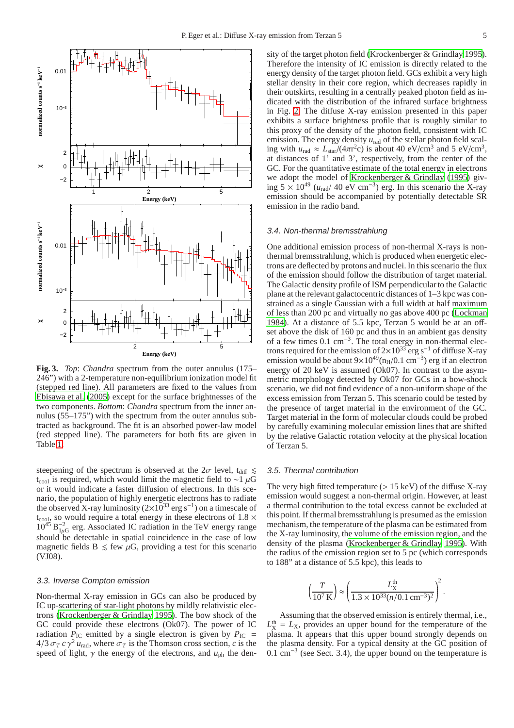

<span id="page-4-0"></span>**Fig. 3.** *Top*: *Chandra* spectrum from the outer annulus (175– 246") with a 2-temperature non-equilibrium ionization model fit (stepped red line). All parameters are fixed to the values from [Ebisawa et al. \(2005\)](#page-5-17) except for the surface brightnesses of the two components. *Bottom*: *Chandra* spectrum from the inner annulus (55–175") with the spectrum from the outer annulus subtracted as background. The fit is an absorbed power-law model (red stepped line). The parameters for both fits are given in Table [1.](#page-3-0)

steepening of the spectrum is observed at the  $2\sigma$  level, t<sub>diff</sub>  $\leq$ t<sub>cool</sub> is required, which would limit the magnetic field to ∼1  $\mu$ G or it would indicate a faster diffusion of electrons. In this scenario, the population of highly energetic electrons has to radiate the observed X-ray luminosity ( $2\times10^{33}$  erg s<sup>-1</sup>) on a timescale of  $t_{\rm cool}$ , so would require a total energy in these electrons of 1.8  $\times$  $10^{45} B_{1\mu G}^{-2}$  erg. Associated IC radiation in the TeV energy range should be detectable in spatial coincidence in the case of low magnetic fields  $B \leq f$ ew  $\mu$ G, providing a test for this scenario (VJ08).

#### 3.3. Inverse Compton emission

Non-thermal X-ray emission in GCs can also be produced by IC up-scattering of star-light photons by mildly relativistic electrons [\(Krockenberger & Grindlay 1995](#page-5-5)). The bow shock of the GC could provide these electrons (Ok07). The power of IC radiation  $P_{\text{IC}}$  emitted by a single electron is given by  $P_{\text{IC}}$  =  $4/3 \sigma_T c \gamma^2 u_{\text{rad}}$ , where  $\sigma_T$  is the Thomson cross section, *c* is the speed of light,  $\gamma$  the energy of the electrons, and  $u_{ph}$  the density of the target photon field [\(Krockenberger & Grindlay 1995\)](#page-5-5). Therefore the intensity of IC emission is directly related to the energy density of the target photon field. GCs exhibit a very high stellar density in their core region, which decreases rapidly in their outskirts, resulting in a centrally peaked photon field as indicated with the distribution of the infrared surface brightness in Fig. [2.](#page-2-1) The diffuse X-ray emission presented in this paper exhibits a surface brightness profile that is roughly similar to this proxy of the density of the photon field, consistent with IC emission. The energy density  $u_{rad}$  of the stellar photon field scaling with  $u_{\text{rad}} \approx L_{\text{star}}/(4\pi r^2 c)$  is about 40 eV/cm<sup>3</sup> and 5 eV/cm<sup>3</sup>, at distances of 1' and 3', respectively, from the center of the GC. For the quantitative estimate of the total energy in electrons we adopt the model of [Krockenberger & Grindlay \(1995\)](#page-5-5) giving  $5 \times 10^{49}$  ( $u_{rad}$ / 40 eV cm<sup>-3</sup>) erg. In this scenario the X-ray emission should be accompanied by potentially detectable SR emission in the radio band.

#### 3.4. Non-thermal bremsstrahlung

One additional emission process of non-thermal X-rays is nonthermal bremsstrahlung, which is produced when energetic electrons are deflected by protons and nuclei. In this scenario the flux of the emission should follow the distribution of target material. The Galactic density profile of ISM perpendicular to the Galactic plane at the relevant galactocentric distances of 1–3 kpc was constrained as a single Gaussian with a full width at half maximum of less than 200 pc and virtually no gas above 400 pc [\(Lockman](#page-5-24) [1984\)](#page-5-24). At a distance of 5.5 kpc, Terzan 5 would be at an offset above the disk of 160 pc and thus in an ambient gas density of a few times 0.1 cm<sup>-3</sup>. The total energy in non-thermal electrons required for the emission of  $2\times10^{33}$  erg s<sup>-1</sup> of diffuse X-ray emission would be about  $9 \times 10^{49}$ (n<sub>H</sub>/0.1 cm<sup>-3</sup>) erg if an electron energy of 20 keV is assumed (Ok07). In contrast to the asymmetric morphology detected by Ok07 for GCs in a bow-shock scenario, we did not find evidence of a non-uniform shape of the excess emission from Terzan 5. This scenario could be tested by the presence of target material in the environment of the GC. Target material in the form of molecular clouds could be probed by carefully examining molecular emission lines that are shifted by the relative Galactic rotation velocity at the physical location of Terzan 5.

#### 3.5. Thermal contribution

The very high fitted temperature  $(> 15 \text{ keV})$  of the diffuse X-ray emission would suggest a non-thermal origin. However, at least a thermal contribution to the total excess cannot be excluded at this point. If thermal bremsstrahlung is presumed as the emission mechanism, the temperature of the plasma can be estimated from the X-ray luminosity, the volume of the emission region, and the density of the plasma [\(Krockenberger & Grindlay 1995\)](#page-5-5). With the radius of the emission region set to 5 pc (which corresponds to 188" at a distance of 5.5 kpc), this leads to

$$
\left(\frac{T}{10^7 \text{ K}}\right) \approx \left(\frac{L_{\text{X}}^{\text{th}}}{1.3 \times 10^{33} (n/0.1 \text{ cm}^{-3})^2}\right)^2.
$$

Assuming that the observed emission is entirely thermal, i.e.,  $L_X^{\text{th}} = L_X$ , provides an upper bound for the temperature of the plasma. It appears that this upper bound strongly depends on the plasma density. For a typical density at the GC position of 0.1 cm<sup>−</sup><sup>3</sup> (see Sect. 3.4), the upper bound on the temperature is